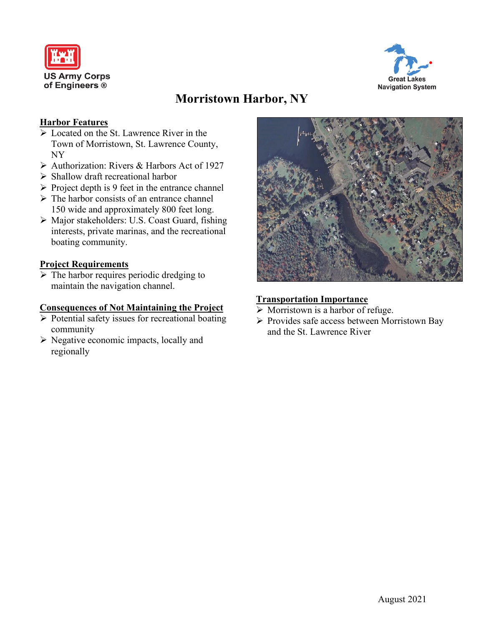



# **Morristown Harbor, NY**

## **Harbor Features**

- Located on the St. Lawrence River in the Town of Morristown, St. Lawrence County, NY
- ▶ Authorization: Rivers & Harbors Act of 1927
- $\triangleright$  Shallow draft recreational harbor
- $\triangleright$  Project depth is 9 feet in the entrance channel
- $\triangleright$  The harbor consists of an entrance channel 150 wide and approximately 800 feet long.
- Major stakeholders: U.S. Coast Guard, fishing interests, private marinas, and the recreational boating community.

## **Project Requirements**

 $\triangleright$  The harbor requires periodic dredging to maintain the navigation channel.

#### **Consequences of Not Maintaining the Project**

- $\triangleright$  Potential safety issues for recreational boating community
- $\triangleright$  Negative economic impacts, locally and regionally



## **Transportation Importance**

- $\triangleright$  Morristown is a harbor of refuge.
- $\triangleright$  Provides safe access between Morristown Bay and the St. Lawrence River